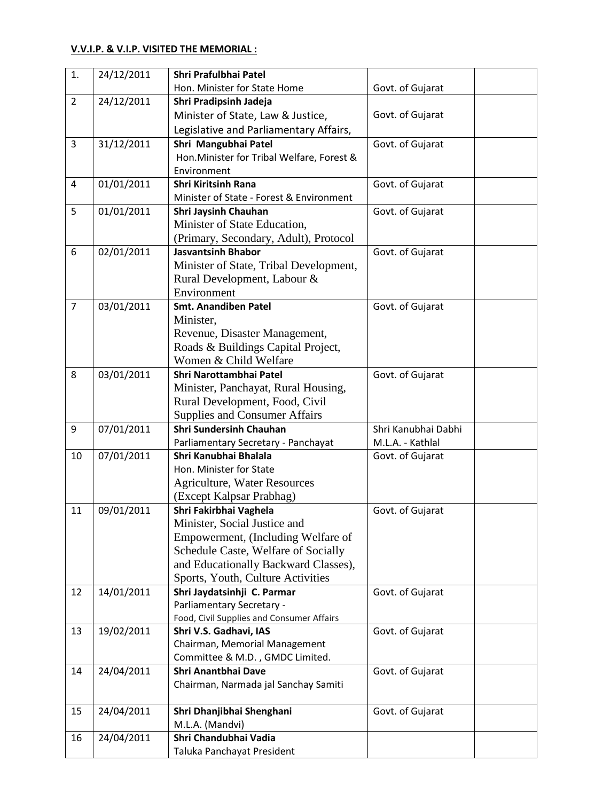## **V.V.I.P. & V.I.P. VISITED THE MEMORIAL :**

| 1.             | 24/12/2011 | Shri Prafulbhai Patel                        |                     |
|----------------|------------|----------------------------------------------|---------------------|
|                |            | Hon. Minister for State Home                 | Govt. of Gujarat    |
| $\overline{2}$ | 24/12/2011 | Shri Pradipsinh Jadeja                       |                     |
|                |            | Minister of State, Law & Justice,            | Govt. of Gujarat    |
|                |            | Legislative and Parliamentary Affairs,       |                     |
| 3              | 31/12/2011 | Shri Mangubhai Patel                         | Govt. of Gujarat    |
|                |            | Hon. Minister for Tribal Welfare, Forest &   |                     |
|                |            | Environment                                  |                     |
| 4              | 01/01/2011 | <b>Shri Kiritsinh Rana</b>                   | Govt. of Gujarat    |
|                |            | Minister of State - Forest & Environment     |                     |
| 5              | 01/01/2011 | Shri Jaysinh Chauhan                         | Govt. of Gujarat    |
|                |            | Minister of State Education,                 |                     |
|                |            | (Primary, Secondary, Adult), Protocol        |                     |
| 6              | 02/01/2011 | <b>Jasvantsinh Bhabor</b>                    | Govt. of Gujarat    |
|                |            | Minister of State, Tribal Development,       |                     |
|                |            | Rural Development, Labour &                  |                     |
|                |            | Environment                                  |                     |
| $\overline{7}$ | 03/01/2011 | <b>Smt. Anandiben Patel</b>                  | Govt. of Gujarat    |
|                |            | Minister,                                    |                     |
|                |            | Revenue, Disaster Management,                |                     |
|                |            | Roads & Buildings Capital Project,           |                     |
|                |            | Women & Child Welfare                        |                     |
| 8              | 03/01/2011 | Shri Narottambhai Patel                      | Govt. of Gujarat    |
|                |            | Minister, Panchayat, Rural Housing,          |                     |
|                |            | Rural Development, Food, Civil               |                     |
|                |            | <b>Supplies and Consumer Affairs</b>         |                     |
| 9              | 07/01/2011 | <b>Shri Sundersinh Chauhan</b>               | Shri Kanubhai Dabhi |
|                |            | Parliamentary Secretary - Panchayat          | M.L.A. - Kathlal    |
| 10             | 07/01/2011 | Shri Kanubhai Bhalala                        | Govt. of Gujarat    |
|                |            | Hon. Minister for State                      |                     |
|                |            | <b>Agriculture, Water Resources</b>          |                     |
|                |            | (Except Kalpsar Prabhag)                     |                     |
| 11             | 09/01/2011 | Shri Fakirbhai Vaghela                       | Govt. of Gujarat    |
|                |            | Minister, Social Justice and                 |                     |
|                |            | Empowerment, (Including Welfare of           |                     |
|                |            | Schedule Caste, Welfare of Socially          |                     |
|                |            | and Educationally Backward Classes),         |                     |
|                |            | Sports, Youth, Culture Activities            |                     |
| 12             | 14/01/2011 | Shri Jaydatsinhji C. Parmar                  | Govt. of Gujarat    |
|                |            | Parliamentary Secretary -                    |                     |
|                |            | Food, Civil Supplies and Consumer Affairs    |                     |
| 13             | 19/02/2011 | Shri V.S. Gadhavi, IAS                       | Govt. of Gujarat    |
|                |            | Chairman, Memorial Management                |                     |
|                |            | Committee & M.D., GMDC Limited.              |                     |
| 14             | 24/04/2011 | <b>Shri Anantbhai Dave</b>                   | Govt. of Gujarat    |
|                |            | Chairman, Narmada jal Sanchay Samiti         |                     |
|                |            |                                              |                     |
| 15             | 24/04/2011 | Shri Dhanjibhai Shenghani<br>M.L.A. (Mandvi) | Govt. of Gujarat    |
| 16             |            | Shri Chandubhai Vadia                        |                     |
|                | 24/04/2011 |                                              |                     |
|                |            | Taluka Panchayat President                   |                     |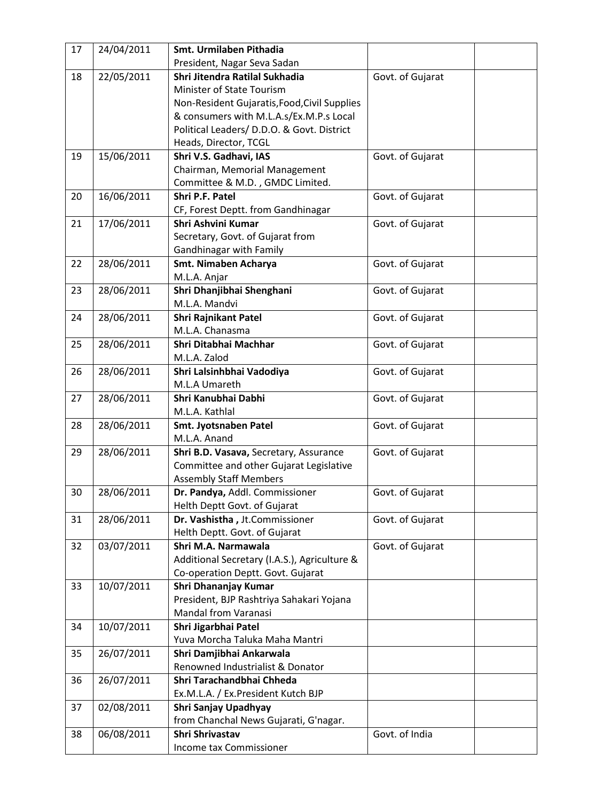| 17 | 24/04/2011 | Smt. Urmilaben Pithadia                      |                  |  |
|----|------------|----------------------------------------------|------------------|--|
|    |            | President, Nagar Seva Sadan                  |                  |  |
| 18 | 22/05/2011 | Shri Jitendra Ratilal Sukhadia               | Govt. of Gujarat |  |
|    |            | Minister of State Tourism                    |                  |  |
|    |            | Non-Resident Gujaratis, Food, Civil Supplies |                  |  |
|    |            | & consumers with M.L.A.s/Ex.M.P.s Local      |                  |  |
|    |            | Political Leaders/ D.D.O. & Govt. District   |                  |  |
|    |            | Heads, Director, TCGL                        |                  |  |
| 19 | 15/06/2011 | Shri V.S. Gadhavi, IAS                       | Govt. of Gujarat |  |
|    |            | Chairman, Memorial Management                |                  |  |
|    |            | Committee & M.D., GMDC Limited.              |                  |  |
| 20 | 16/06/2011 | Shri P.F. Patel                              | Govt. of Gujarat |  |
|    |            | CF, Forest Deptt. from Gandhinagar           |                  |  |
| 21 | 17/06/2011 | Shri Ashvini Kumar                           | Govt. of Gujarat |  |
|    |            | Secretary, Govt. of Gujarat from             |                  |  |
|    |            | Gandhinagar with Family                      |                  |  |
| 22 | 28/06/2011 | Smt. Nimaben Acharya                         | Govt. of Gujarat |  |
|    |            | M.L.A. Anjar                                 |                  |  |
| 23 | 28/06/2011 | Shri Dhanjibhai Shenghani                    | Govt. of Gujarat |  |
|    |            | M.L.A. Mandvi                                |                  |  |
| 24 | 28/06/2011 | <b>Shri Rajnikant Patel</b>                  | Govt. of Gujarat |  |
|    |            | M.L.A. Chanasma                              |                  |  |
| 25 | 28/06/2011 | Shri Ditabhai Machhar                        | Govt. of Gujarat |  |
|    |            | M.L.A. Zalod                                 |                  |  |
| 26 | 28/06/2011 | Shri Lalsinhbhai Vadodiya                    | Govt. of Gujarat |  |
|    |            | M.L.A Umareth                                |                  |  |
| 27 | 28/06/2011 | Shri Kanubhai Dabhi                          | Govt. of Gujarat |  |
|    |            | M.L.A. Kathlal                               |                  |  |
| 28 | 28/06/2011 | Smt. Jyotsnaben Patel                        | Govt. of Gujarat |  |
|    |            | M.L.A. Anand                                 |                  |  |
| 29 | 28/06/2011 | Shri B.D. Vasava, Secretary, Assurance       | Govt. of Gujarat |  |
|    |            | Committee and other Gujarat Legislative      |                  |  |
|    |            | <b>Assembly Staff Members</b>                |                  |  |
| 30 | 28/06/2011 | Dr. Pandya, Addl. Commissioner               | Govt. of Gujarat |  |
|    |            | Helth Deptt Govt. of Gujarat                 |                  |  |
| 31 | 28/06/2011 | Dr. Vashistha, Jt.Commissioner               | Govt. of Gujarat |  |
|    |            | Helth Deptt. Govt. of Gujarat                |                  |  |
| 32 | 03/07/2011 | Shri M.A. Narmawala                          | Govt. of Gujarat |  |
|    |            | Additional Secretary (I.A.S.), Agriculture & |                  |  |
|    |            | Co-operation Deptt. Govt. Gujarat            |                  |  |
| 33 | 10/07/2011 | Shri Dhananjay Kumar                         |                  |  |
|    |            | President, BJP Rashtriya Sahakari Yojana     |                  |  |
|    |            | <b>Mandal from Varanasi</b>                  |                  |  |
| 34 | 10/07/2011 | Shri Jigarbhai Patel                         |                  |  |
|    |            | Yuva Morcha Taluka Maha Mantri               |                  |  |
| 35 | 26/07/2011 | Shri Damjibhai Ankarwala                     |                  |  |
|    |            | Renowned Industrialist & Donator             |                  |  |
| 36 | 26/07/2011 | Shri Tarachandbhai Chheda                    |                  |  |
|    |            | Ex.M.L.A. / Ex.President Kutch BJP           |                  |  |
| 37 | 02/08/2011 | Shri Sanjay Upadhyay                         |                  |  |
|    |            | from Chanchal News Gujarati, G'nagar.        |                  |  |
| 38 | 06/08/2011 | Shri Shrivastav                              | Govt. of India   |  |
|    |            | Income tax Commissioner                      |                  |  |